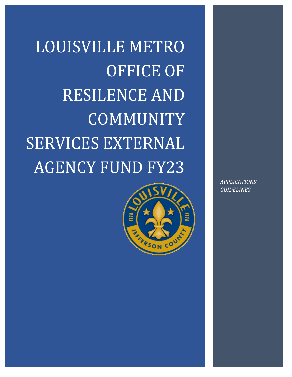LOUISVILLE METRO OFFICE OF RESILENCE AND COMMUNITY SERVICES EXTERNAL AGENCY FUND FY23



*APPLICATIONS GUIDELINES*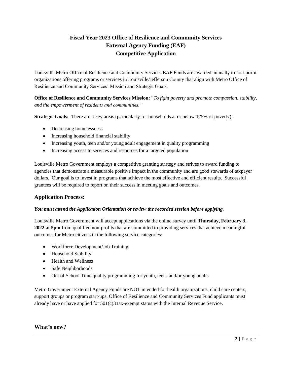# **Fiscal Year 2023 Office of Resilience and Community Services External Agency Funding (EAF) Competitive Application**

Louisville Metro Office of Resilience and Community Services EAF Funds are awarded annually to non-profit organizations offering programs or services in Louisville/Jefferson County that align with Metro Office of Resilience and Community Services' Mission and Strategic Goals.

**Office of Resilience and Community Services Mission:** "*To fight poverty and promote compassion, stability, and the empowerment of residents and communities."*

**Strategic Goals:** There are 4 key areas (particularly for households at or below 125% of poverty):

- Decreasing homelessness
- Increasing household financial stability
- Increasing youth, teen and/or young adult engagement in quality programming
- Increasing access to services and resources for a targeted population

Louisville Metro Government employs a competitive granting strategy and strives to award funding to agencies that demonstrate a measurable positive impact in the community and are good stewards of taxpayer dollars. Our goal is to invest in programs that achieve the most effective and efficient results. Successful grantees will be required to report on their success in meeting goals and outcomes.

# **Application Process:**

## *You must attend the Application Orientation or review the recorded session before applying.*

Louisville Metro Government will accept applications via the online survey until **Thursday, February 3, 2022 at 5pm** from qualified non-profits that are committed to providing services that achieve meaningful outcomes for Metro citizens in the following service categories:

- Workforce Development/Job Training
- Household Stability
- Health and Wellness
- Safe Neighborhoods
- Out of School Time quality programming for youth, teens and/or young adults

Metro Government External Agency Funds are NOT intended for health organizations, child care centers, support groups or program start-ups. Office of Resilience and Community Services Fund applicants must already have or have applied for  $501(c)3$  tax-exempt status with the Internal Revenue Service.

## **What's new?**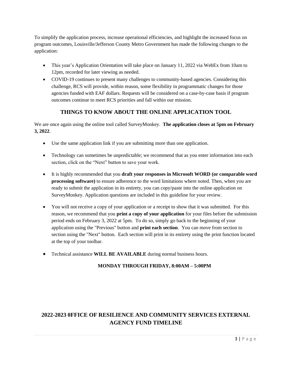To simplify the application process, increase operational efficiencies, and highlight the increased focus on program outcomes, Louisville/Jefferson County Metro Government has made the following changes to the application:

- This year's Application Orientation will take place on January 11, 2022 via WebEx from 10am to 12pm, recorded for later viewing as needed.
- COVID-19 continues to present many challenges to community-based agencies. Considering this challenge, RCS will provide, within reason, some flexibility in programmatic changes for those agencies funded with EAF dollars. Requests will be considered on a case-by-case basis if program outcomes continue to meet RCS priorities and fall within our mission.

# **THINGS TO KNOW ABOUT THE ONLINE APPLICATION TOOL**

We are once again using the online tool called SurveyMonkey. **The application closes at 5pm on February 3, 2022**.

- Use the same application link if you are submitting more than one application.
- Technology can sometimes be unpredictable; we recommend that as you enter information into each section, click on the "Next" button to save your work.
- It is highly recommended that you **draft your responses in Microsoft WORD (or comparable word processing software)** to ensure adherence to the word limitations where noted. Then, when you are ready to submit the application in its entirety, you can copy/paste into the online application on SurveyMonkey. Application questions are included in this guideline for your review.
- You will not receive a copy of your application or a receipt to show that it was submitted. For this reason, we recommend that you **print a copy of your application** for your files before the submission period ends on February 3, 2022 at 5pm. To do so, simply go back to the beginning of your application using the "Previous" button and **print each section**. You can move from section to section using the "Next" button. Each section will print in its entirety using the print function located at the top of your toolbar.
- Technical assistance **WILL BE AVAILABLE** during normal business hours.

# **MONDAY THROUGH FRIDAY, 8:00AM – 5:00PM**

# **2022-2023 0FFICE OF RESILIENCE AND COMMUNITY SERVICES EXTERNAL AGENCY FUND TIMELINE**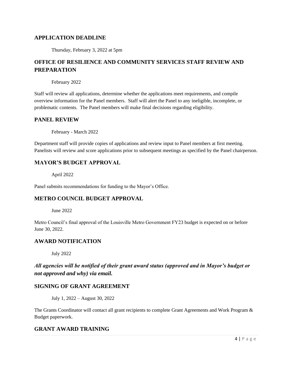## **APPLICATION DEADLINE**

Thursday, February 3, 2022 at 5pm

# **OFFICE OF RESILIENCE AND COMMUNITY SERVICES STAFF REVIEW AND PREPARATION**

February 2022

Staff will review all applications, determine whether the applications meet requirements, and compile overview information for the Panel members. Staff will alert the Panel to any ineligible, incomplete, or problematic contents. The Panel members will make final decisions regarding eligibility.

## **PANEL REVIEW**

February - March 2022

Department staff will provide copies of applications and review input to Panel members at first meeting. Panelists will review and score applications prior to subsequent meetings as specified by the Panel chairperson.

## **MAYOR'S BUDGET APPROVAL**

April 2022

Panel submits recommendations for funding to the Mayor's Office.

## **METRO COUNCIL BUDGET APPROVAL**

June 2022

Metro Council's final approval of the Louisville Metro Government FY23 budget is expected on or before June 30, 2022.

## **AWARD NOTIFICATION**

July 2022

*All agencies will be notified of their grant award status (approved and in Mayor's budget or not approved and why) via email.* 

## **SIGNING OF GRANT AGREEMENT**

July 1, 2022 – August 30, 2022

The Grants Coordinator will contact all grant recipients to complete Grant Agreements and Work Program & Budget paperwork.

## **GRANT AWARD TRAINING**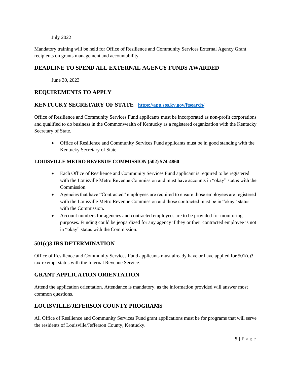July 2022

Mandatory training will be held for Office of Resilience and Community Services External Agency Grant recipients on grants management and accountability.

# **DEADLINE TO SPEND ALL EXTERNAL AGENCY FUNDS AWARDED**

June 30, 2023

## **REQUIREMENTS TO APPLY**

## **KENTUCKY SECRETARY OF STATE <https://app.sos.ky.gov/ftsearch/>**

Office of Resilience and Community Services Fund applicants must be incorporated as non-profit corporations and qualified to do business in the Commonwealth of Kentucky as a registered organization with the Kentucky Secretary of State.

• Office of Resilience and Community Services Fund applicants must be in good standing with the Kentucky Secretary of State.

#### **LOUISVILLE METRO REVENUE COMMISSION (502) 574-4860**

- Each Office of Resilience and Community Services Fund applicant is required to be registered with the Louisville Metro Revenue Commission and must have accounts in "okay" status with the Commission.
- Agencies that have "Contracted" employees are required to ensure those employees are registered with the Louisville Metro Revenue Commission and those contracted must be in "okay" status with the Commission.
- Account numbers for agencies and contracted employees are to be provided for monitoring purposes. Funding could be jeopardized for any agency if they or their contracted employee is not in "okay" status with the Commission.

# **501(c)3 IRS DETERMINATION**

Office of Resilience and Community Services Fund applicants must already have or have applied for  $501(c)3$ tax-exempt status with the Internal Revenue Service.

# **GRANT APPLICATION ORIENTATION**

Attend the application orientation. Attendance is mandatory, as the information provided will answer most common questions.

# **LOUISVILLE/JEFERSON COUNTY PROGRAMS**

All Office of Resilience and Community Services Fund grant applications must be for programs that will serve the residents of Louisville/Jefferson County, Kentucky.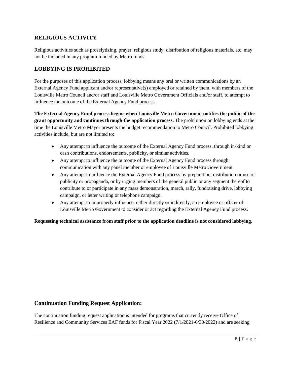# **RELIGIOUS ACTIVITY**

Religious activities such as proselytizing, prayer, religious study, distribution of religious materials, etc. may not be included in any program funded by Metro funds.

## **LOBBYING IS PROHIBITED**

For the purposes of this application process, lobbying means any oral or written communications by an External Agency Fund applicant and/or representative(s) employed or retained by them, with members of the Louisville Metro Council and/or staff and Louisville Metro Government Officials and/or staff, to attempt to influence the outcome of the External Agency Fund process.

**The External Agency Fund process begins when Louisville Metro Government notifies the public of the grant opportunity and continues through the application process.** The prohibition on lobbying ends at the time the Louisville Metro Mayor presents the budget recommendation to Metro Council. Prohibited lobbying activities include, but are not limited to:

- Any attempt to influence the outcome of the External Agency Fund process, through in-kind or cash contributions, endorsements, publicity, or similar activities.
- Any attempt to influence the outcome of the External Agency Fund process through communication with any panel member or employee of Louisville Metro Government.
- Any attempt to influence the External Agency Fund process by preparation, distribution or use of publicity or propaganda, or by urging members of the general public or any segment thereof to contribute to or participate in any mass demonstration, march, rally, fundraising drive, lobbying campaign, or letter writing or telephone campaign.
- Any attempt to improperly influence, either directly or indirectly, an employee or officer of Louisville Metro Government to consider or act regarding the External Agency Fund process.

**Requesting technical assistance from staff prior to the application deadline is not considered lobbying**.

## **Continuation Funding Request Application:**

The continuation funding request application is intended for programs that currently receive Office of Resilience and Community Services EAF funds for Fiscal Year 2022 (7/1/2021-6/30/2022) and are seeking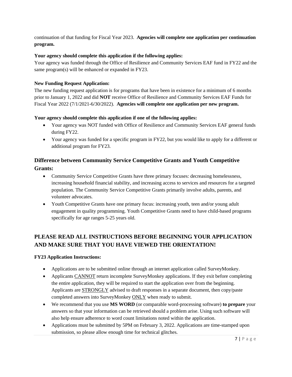continuation of that funding for Fiscal Year 2023. **Agencies will complete one application per continuation program.**

### **Your agency should complete this application if the following applies:**

Your agency was funded through the Office of Resilience and Community Services EAF fund in FY22 and the same program(s) will be enhanced or expanded in FY23.

## **New Funding Request Application:**

The new funding request application is for programs that have been in existence for a minimum of 6 months prior to January 1, 2022 and did **NOT** receive Office of Resilience and Community Services EAF Funds for Fiscal Year 2022 (7/1/2021-6/30/2022). **Agencies will complete one application per new program.** 

## **Your agency should complete this application if one of the following applies:**

- Your agency was NOT funded with Office of Resilience and Community Services EAF general funds during FY22.
- Your agency was funded for a specific program in FY22, but you would like to apply for a different or additional program for FY23.

# **Difference between Community Service Competitive Grants and Youth Competitive Grants:**

- Community Service Competitive Grants have three primary focuses: decreasing homelessness, increasing household financial stability, and increasing access to services and resources for a targeted population. The Community Service Competitive Grants primarily involve adults, parents, and volunteer advocates.
- Youth Competitive Grants have one primary focus: increasing youth, teen and/or young adult engagement in quality programming. Youth Competitive Grants need to have child-based programs specifically for age ranges 5-25 years old.

# **PLEASE READ ALL INSTRUCTIONS BEFORE BEGINNING YOUR APPLICATION AND MAKE SURE THAT YOU HAVE VIEWED THE ORIENTATION!**

## **FY23 Application Instructions:**

- Applications are to be submitted online through an internet application called SurveyMonkey.
- Applicants CANNOT return incomplete SurveyMonkey applications. If they exit before completing the entire application, they will be required to start the application over from the beginning. Applicants are STRONGLY advised to draft responses in a separate document, then copy/paste completed answers into SurveyMonkey ONLY when ready to submit.
- We recommend that you use **MS WORD** (or comparable word-processing software) **to prepare** your answers so that your information can be retrieved should a problem arise. Using such software will also help ensure adherence to word count limitations noted within the application.
- Applications must be submitted by 5PM on February 3, 2022. Applications are time-stamped upon submission, so please allow enough time for technical glitches.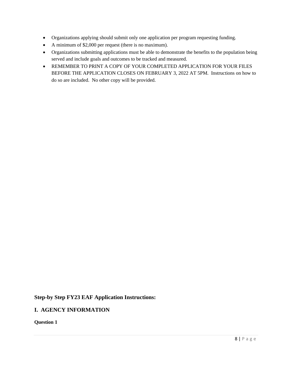- Organizations applying should submit only one application per program requesting funding.
- A minimum of \$2,000 per request (there is no maximum).
- Organizations submitting applications must be able to demonstrate the benefits to the population being served and include goals and outcomes to be tracked and measured.
- REMEMBER TO PRINT A COPY OF YOUR COMPLETED APPLICATION FOR YOUR FILES BEFORE THE APPLICATION CLOSES ON FEBRUARY 3, 2022 AT 5PM. Instructions on how to do so are included. No other copy will be provided.

# **Step-by Step FY23 EAF Application Instructions:**

# **I. AGENCY INFORMATION**

**Question 1**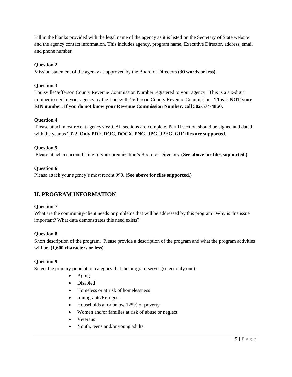Fill in the blanks provided with the legal name of the agency as it is listed on the Secretary of State website and the agency contact information. This includes agency, program name, Executive Director, address, email and phone number.

### **Question 2**

Mission statement of the agency as approved by the Board of Directors **(30 words or less).**

#### **Question 3**

Louisville/Jefferson County Revenue Commission Number registered to your agency. This is a six-digit number issued to your agency by the Louisville/Jefferson County Revenue Commission. **This is NOT your EIN number. If you do not know your Revenue Commission Number, call 502-574-4860.**

#### **Question 4**

Please attach most recent agency's W9. All sections are complete. Part II section should be signed and dated with the year as 2022. **Only PDF, DOC, DOCX, PNG, JPG, JPEG, GIF files are supported.**

#### **Question 5**

Please attach a current listing of your organization's Board of Directors. **(See above for files supported.)**

#### **Question 6**

Please attach your agency's most recent 990. **(See above for files supported.)**

# **II. PROGRAM INFORMATION**

#### **Question 7**

What are the community/client needs or problems that will be addressed by this program? Why is this issue important? What data demonstrates this need exists?

#### **Question 8**

Short description of the program. Please provide a description of the program and what the program activities will be. **(1,600 characters or less)**

#### **Question 9**

Select the primary population category that the program serves (select only one):

- Aging
- Disabled
- Homeless or at risk of homelessness
- Immigrants/Refugees
- Households at or below 125% of poverty
- Women and/or families at risk of abuse or neglect
- Veterans
- Youth, teens and/or young adults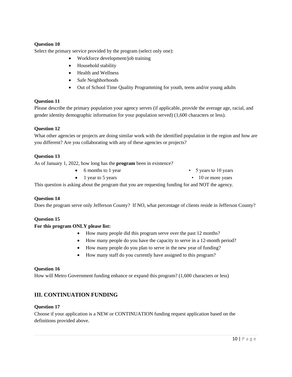#### **Question 10**

Select the primary service provided by the program (select only one):

- Workforce development/job training
- Household stability
- Health and Wellness
- Safe Neighborhoods
- Out of School Time Quality Programming for youth, teens and/or young adults

#### **Question 11**

Please describe the primary population your agency serves (if applicable, provide the average age, racial, and gender identity demographic information for your population served) (1,600 characters or less).

#### **Question 12**

What other agencies or projects are doing similar work with the identified population in the region and how are you different? Are you collaborating with any of these agencies or projects?

#### **Question 13**

As of January 1, 2022, how long has the **program** been in existence?

- 6 months to 1 year 5 years to 10 years
- 1 year to 5 years 10 or more years

This question is asking about the program that you are requesting funding for and NOT the agency.

#### **Question 14**

Does the program serve only Jefferson County? If NO, what percentage of clients reside in Jefferson County?

#### **Question 15**

#### **For this program ONLY please list:**

- How many people did this program serve over the past 12 months?
- How many people do you have the capacity to serve in a 12-month period?
- How many people do you plan to serve in the new year of funding?
- How many staff do you currently have assigned to this program?

#### **Question 16**

How will Metro Government funding enhance or expand this program? (1,600 characters or less)

# **III. CONTINUATION FUNDING**

#### **Question 17**

Choose if your application is a NEW or CONTINUATION funding request application based on the definitions provided above.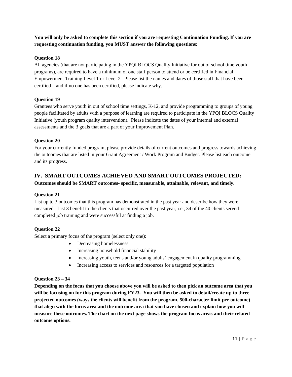**You will only be asked to complete this section if you are requesting Continuation Funding. If you are requesting continuation funding, you MUST answer the following questions:**

#### **Question 18**

All agencies (that are not participating in the YPQI BLOCS Quality Initiative for out of school time youth programs), are required to have a minimum of one staff person to attend or be certified in Financial Empowerment Training Level 1 or Level 2. Please list the names and dates of those staff that have been certified – and if no one has been certified, please indicate why.

#### **Question 19**

Grantees who serve youth in out of school time settings, K-12, and provide programming to groups of young people facilitated by adults with a purpose of learning are required to participate in the YPQI BLOCS Quality Initiative (youth program quality intervention). Please indicate the dates of your internal and external assessments and the 3 goals that are a part of your Improvement Plan.

#### **Question 20**

For your currently funded program, please provide details of current outcomes and progress towards achieving the outcomes that are listed in your Grant Agreement / Work Program and Budget. Please list each outcome and its progress.

# **IV. SMART OUTCOMES ACHIEVED AND SMART OUTCOMES PROJECTED:**

#### **Outcomes should be SMART outcomes- specific, measurable, attainable, relevant, and timely.**

#### **Question 21**

List up to 3 outcomes that this program has demonstrated in the <u>past</u> year and describe how they were measured. List 3 benefit to the clients that occurred over the past year, i.e., 34 of the 40 clients served completed job training and were successful at finding a job.

#### **Question 22**

Select a primary focus of the program (select only one):

- Decreasing homelessness
- Increasing household financial stability
- Increasing youth, teens and/or young adults' engagement in quality programming
- Increasing access to services and resources for a targeted population

#### **Question 23 – 34**

**Depending on the focus that you choose above you will be asked to then pick an outcome area that you will be focusing on for this program during FY23. You will then be asked to detail/create up to three projected outcomes (ways the clients will benefit from the program, 500-character limit per outcome) that align with the focus area and the outcome area that you have chosen and explain how you will measure these outcomes. The chart on the next page shows the program focus areas and their related outcome options.**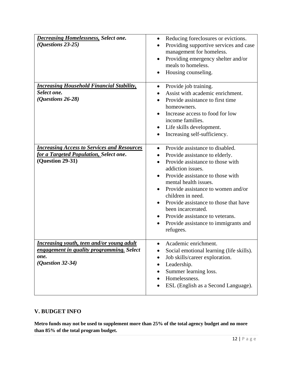| <b>Decreasing Homelessness</b> , Select one.<br>$(Questions 23-25)$                                                          | Reducing foreclosures or evictions.<br>$\bullet$<br>Providing supportive services and case<br>$\bullet$<br>management for homeless.<br>Providing emergency shelter and/or<br>meals to homeless.<br>Housing counseling.                                                                                                                                                                                                                                                                               |
|------------------------------------------------------------------------------------------------------------------------------|------------------------------------------------------------------------------------------------------------------------------------------------------------------------------------------------------------------------------------------------------------------------------------------------------------------------------------------------------------------------------------------------------------------------------------------------------------------------------------------------------|
| <b>Increasing Household Financial Stability,</b><br>Select one.<br>$(Questions 26-28)$                                       | Provide job training.<br>$\bullet$<br>Assist with academic enrichment.<br>$\bullet$<br>Provide assistance to first time<br>homeowners.<br>Increase access to food for low<br>income families.<br>Life skills development.<br>٠<br>Increasing self-sufficiency.                                                                                                                                                                                                                                       |
| <b>Increasing Access to Services and Resources</b><br>for a Targeted Population, Select one.<br>(Question 29-31)             | Provide assistance to disabled.<br>$\bullet$<br>Provide assistance to elderly.<br>$\bullet$<br>Provide assistance to those with<br>$\bullet$<br>addiction issues.<br>Provide assistance to those with<br>mental health issues.<br>Provide assistance to women and/or<br>$\bullet$<br>children in need.<br>Provide assistance to those that have<br>$\bullet$<br>been incarcerated.<br>Provide assistance to veterans.<br>$\bullet$<br>Provide assistance to immigrants and<br>$\bullet$<br>refugees. |
| <b>Increasing youth, teen and/or young adult</b><br>engagement in quality programming. Select<br>one.<br>$(Q$ uestion 32-34) | Academic enrichment.<br>$\bullet$<br>Social emotional learning (life skills).<br>Job skills/career exploration.<br>٠<br>Leadership.<br>$\bullet$<br>Summer learning loss.<br>Homelessness.<br>ESL (English as a Second Language).                                                                                                                                                                                                                                                                    |

# **V. BUDGET INFO**

**Metro funds may not be used to supplement more than 25% of the total agency budget and no more than 85% of the total program budget.**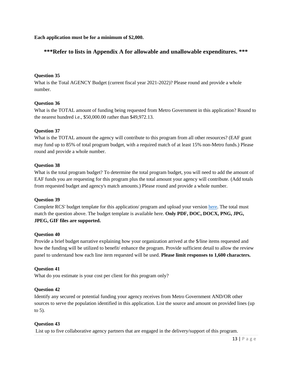**Each application must be for a minimum of \$2,000.**

## **\*\*\*Refer to lists in Appendix A for allowable and unallowable expenditures. \*\*\***

#### **Question 35**

What is the Total AGENCY Budget (current fiscal year 2021-2022)? Please round and provide a whole number.

#### **Question 36**

What is the TOTAL amount of funding being requested from Metro Government in this application? Round to the nearest hundred i.e., \$50,000.00 rather than \$49,972.13.

#### **Question 37**

What is the TOTAL amount the agency will contribute to this program from all other resources? (EAF grant may fund up to 85% of total program budget, with a required match of at least 15% non-Metro funds.) Please round and provide a whole number.

#### **Question 38**

What is the total program budget? To determine the total program budget, you will need to add the amount of EAF funds you are requesting for this program plus the total amount your agency will contribute. (Add totals from requested budget and agency's match amounts.) Please round and provide a whole number.

#### **Question 39**

Complete RCS' budget template for this application/ program and upload your version [here.](https://louisvilleky.gov/external-agency-fund/document/eaf-funding-request-worksheet0pdf) The total must match the question above. The budget template is available here. **Only PDF, DOC, DOCX, PNG, JPG, JPEG, GIF files are supported.**

#### **Question 40**

Provide a brief budget narrative explaining how your organization arrived at the \$/line items requested and how the funding will be utilized to benefit/ enhance the program. Provide sufficient detail to allow the review panel to understand how each line item requested will be used. **Please limit responses to 1,600 characters.** 

#### **Question 41**

What do you estimate is your cost per client for this program only?

#### **Question 42**

Identify any secured or potential funding your agency receives from Metro Government AND/OR other sources to serve the population identified in this application. List the source and amount on provided lines (up to 5).

#### **Question 43**

List up to five collaborative agency partners that are engaged in the delivery/support of this program.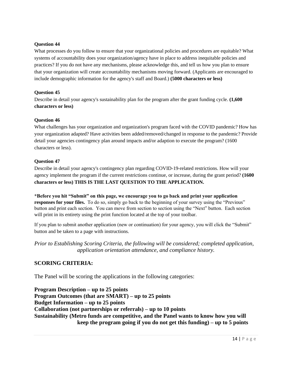#### **Question 44**

What processes do you follow to ensure that your organizational policies and procedures are equitable? What systems of accountability does your organization/agency have in place to address inequitable policies and practices? If you do not have any mechanisms, please acknowledge this, and tell us how you plan to ensure that your organization will create accountability mechanisms moving forward. (Applicants are encouraged to include demographic information for the agency's staff and Board.) **(5000 characters or less)**

#### **Question 45**

Describe in detail your agency's sustainability plan for the program after the grant funding cycle. **(1,600 characters or less)**

#### **Question 46**

What challenges has your organization and organization's program faced with the COVID pandemic? How has your organization adapted? Have activities been added/removed/changed in response to the pandemic? Provide detail your agencies contingency plan around impacts and/or adaption to execute the program? (1600 characters or less).

#### **Question 47**

Describe in detail your agency's contingency plan regarding COVID-19-related restrictions. How will your agency implement the program if the current restrictions continue, or increase, during the grant period? **(1600 characters or less) THIS IS THE LAST QUESTION TO THE APPLICATION.**

**\*Before you hit "Submit" on this page, we encourage you to go back and print your application responses for your files.** To do so, simply go back to the beginning of your survey using the "Previous" button and print each section. You can move from section to section using the "Next" button. Each section will print in its entirety using the print function located at the top of your toolbar.

If you plan to submit another application (new or continuation) for your agency, you will click the "Submit" button and be taken to a page with instructions.

*Prior to Establishing Scoring Criteria, the following will be considered; completed application, application orientation attendance, and compliance history.*

# **SCORING CRITERIA:**

The Panel will be scoring the applications in the following categories:

**Program Description – up to 25 points Program Outcomes (that are SMART) – up to 25 points Budget Information – up to 25 points Collaboration (not partnerships or referrals) – up to 10 points Sustainability (Metro funds are competitive, and the Panel wants to know how you will keep the program going if you do not get this funding) – up to 5 points**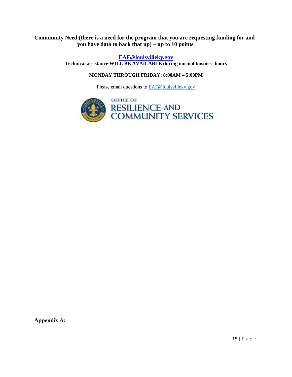## **Community Need (there is a need for the program that you are requesting funding for and you have data to back that up) – up to 10 points**

**[EAF@louisvilleky.gov](mailto:EAF@louisvilleky.gov)**

**Technical assistance WILL BE AVAILABLE during normal business hours**

## **MONDAY THROUGH FRIDAY; 8:00AM – 5:00PM**

Please email questions to **EAF@louisvilleky.gov** 



**Appendix A:**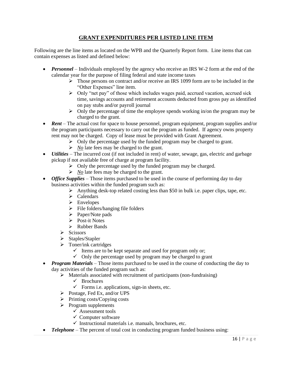# **GRANT EXPENDITURES PER LISTED LINE ITEM**

Following are the line items as located on the WPB and the Quarterly Report form. Line items that can contain expenses as listed and defined below:

- *Personnel* Individuals employed by the agency who receive an IRS W-2 form at the end of the calendar year for the purpose of filing federal and state income taxes
	- ➢ Those persons on contract and/or receive an IRS 1099 form are to be included in the "Other Expenses" line item.
	- $\triangleright$  Only "net pay" of those which includes wages paid, accrued vacation, accrued sick time, savings accounts and retirement accounts deducted from gross pay as identified on pay stubs and/or payroll journal
	- $\triangleright$  Only the percentage of time the employee spends working in/on the program may be charged to the grant.
- *Rent* The actual cost for space to house personnel, program equipment, program supplies and/or the program participants necessary to carry out the program as funded. If agency owns property rent may not be charged. Copy of lease must be provided with Grant Agreement.
	- ➢ Only the percentage used by the funded program may be charged to grant.
	- ➢ *No* late fees may be charged to the grant.
- *Utilities* The incurred cost (if not included in rent) of water, sewage, gas, electric and garbage pickup if not available free of charge at program facility.
	- ➢ Only the percentage used by the funded program may be charged.
	- ➢ *No* late fees may be charged to the grant.
- *Office Supplies* Those items purchased to be used in the course of performing day to day business activities within the funded program such as:
	- $\triangleright$  Anything desk-top related costing less than \$50 in bulk i.e. paper clips, tape, etc.
	- ➢ Calendars
	- ➢ Envelopes
	- $\triangleright$  File folders/hanging file folders
	- ➢ Paper/Note pads
	- ➢ Post-it Notes
	- ➢ Rubber Bands
	- ➢ Scissors
	- ➢ Staples/Stapler
	- $\triangleright$  Toner/ink cartridges
		- ✓ Items are to be kept separate and used for program only or;
		- $\checkmark$  Only the percentage used by program may be charged to grant
- *Program Materials* Those items purchased to be used in the course of conducting the day to day activities of the funded program such as:
	- ➢ Materials associated with recruitment of participants (non-fundraising)
		- $\checkmark$  Brochures
		- $\checkmark$  Forms i.e. applications, sign-in sheets, etc.
	- ➢ Postage, Fed Ex, and/or UPS
	- ➢ Printing costs/Copying costs
	- ➢ Program supplements
		- ✓ Assessment tools
		- $\checkmark$  Computer software
		- $\checkmark$  Instructional materials i.e. manuals, brochures, etc.
- *Telephone* The percent of total cost in conducting program funded business using: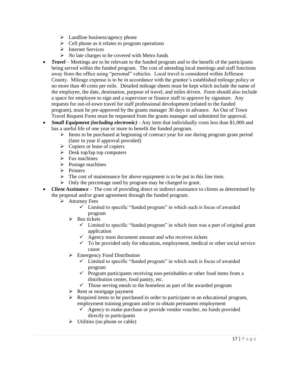- $\triangleright$  Landline business/agency phone
- $\triangleright$  Cell phone as it relates to program operations
- ➢ Internet Services
- ➢ *No* late charges to be covered with Metro funds
- *Travel* Meetings are to be relevant to the funded program and to the benefit of the participants being served within the funded program. The cost of attending local meetings and staff functions away from the office using "personal" vehicles. Local travel is considered within Jefferson County. Mileage expense is to be in accordance with the grantee's established mileage policy or no more than 40 cents per mile. Detailed mileage sheets must be kept which include the name of the employee, the date, destination, purpose of travel, and miles driven. Form should also include a space for employee to sign and a supervisor or finance staff to approve by signature. Any requests for out-of-town travel for staff professional development (related to the funded program), must be pre-approved by the grants manager 30 days in advance. An Out of Town Travel Request Form must be requested from the grants manager and submitted for approval.
- *Small Equipment (including electronic)* Any item that individually costs less than \$1,000 and has a useful life of one year or more to benefit the funded program.
	- $\triangleright$  Items to be purchased at beginning of contract year for use during program grant period (later in year if approval provided)
	- $\triangleright$  Copiers or lease of copiers
	- $\triangleright$  Desk top/lap top computers
	- ➢ Fax machines
	- ➢ Postage machines
	- ➢ Printers
	- $\triangleright$  The cost of maintenance for above equipment is to be put in this line item.
	- ➢ Only the percentage used by program may be charged to grant.
- *Client Assistance* The cost of providing direct or indirect assistance to clients as determined by the proposal and/or grant agreement through the funded program.
	- ➢ Attorney Fees
		- $\checkmark$  Limited to specific "funded program" in which such is focus of awarded program
		- $\triangleright$  Bus tickets
			- ✓ Limited to specific "funded program" in which item was a part of original grant application
			- $\checkmark$  Agency must document amount and who receives tickets
			- $\checkmark$  To be provided only for education, employment, medical or other social service cause
		- ➢ Emergency Food Distribution
			- ✓ Limited to specific "funded program" in which such is focus of awarded program
			- $\checkmark$  Program participants receiving non-perishables or other food items from a distribution center, food pantry, etc.
			- $\checkmark$  Those serving meals to the homeless as part of the awarded program
		- ➢ Rent or mortgage payment
		- $\triangleright$  Required items to be purchased in order to participate in an educational program, employment training program and/or to obtain permanent employment
			- $\checkmark$  Agency to make purchase or provide vendor voucher, no funds provided directly to participants
		- $\triangleright$  Utilities (no phone or cable)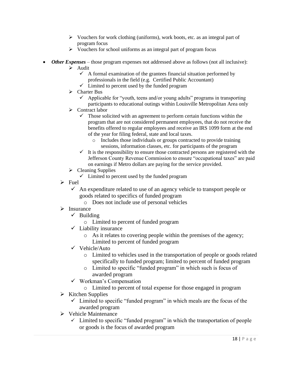- $\triangleright$  Vouchers for work clothing (uniforms), work boots, etc. as an integral part of program focus
- $\triangleright$  Vouchers for school uniforms as an integral part of program focus
- *Other Expenses* those program expenses not addressed above as follows (not all inclusive):
	- ➢ Audit
		- $\checkmark$  A formal examination of the grantees financial situation performed by professionals in the field (e.g. Certified Public Accountant)
		- Limited to percent used by the funded program
	- ➢ Charter Bus
		- $\checkmark$  Applicable for "youth, teens and/or young adults" programs in transporting participants to educational outings within Louisville Metropolitan Area only
	- ➢ Contract labor
		- $\checkmark$  Those solicited with an agreement to perform certain functions within the program that are not considered permanent employees, that do not receive the benefits offered to regular employees and receive an IRS 1099 form at the end of the year for filing federal, state and local taxes.
			- o Includes those individuals or groups contracted to provide training sessions, information classes, etc. for participants of the program
		- $\checkmark$  It is the responsibility to ensure those contracted persons are registered with the Jefferson County Revenue Commission to ensure "occupational taxes" are paid on earnings if Metro dollars are paying for the service provided.
	- ➢ Cleaning Supplies
		- $\checkmark$  Limited to percent used by the funded program
	- ➢ Fuel
		- $\checkmark$  An expenditure related to use of an agency vehicle to transport people or goods related to specifics of funded program
			- o Does not include use of personal vehicles
	- ➢ Insurance
		- $\checkmark$  Building
			- o Limited to percent of funded program
		- $\checkmark$  Liability insurance
			- o As it relates to covering people within the premises of the agency; Limited to percent of funded program
		- ✓ Vehicle/Auto
			- o Limited to vehicles used in the transportation of people or goods related specifically to funded program; limited to percent of funded program
			- o Limited to specific "funded program" in which such is focus of awarded program
		- ✓ Workman's Compensation
			- o Limited to percent of total expense for those engaged in program
	- $\triangleright$  Kitchen Supplies
		- $\checkmark$  Limited to specific "funded program" in which meals are the focus of the awarded program
	- ➢ Vehicle Maintenance
		- $\checkmark$  Limited to specific "funded program" in which the transportation of people or goods is the focus of awarded program